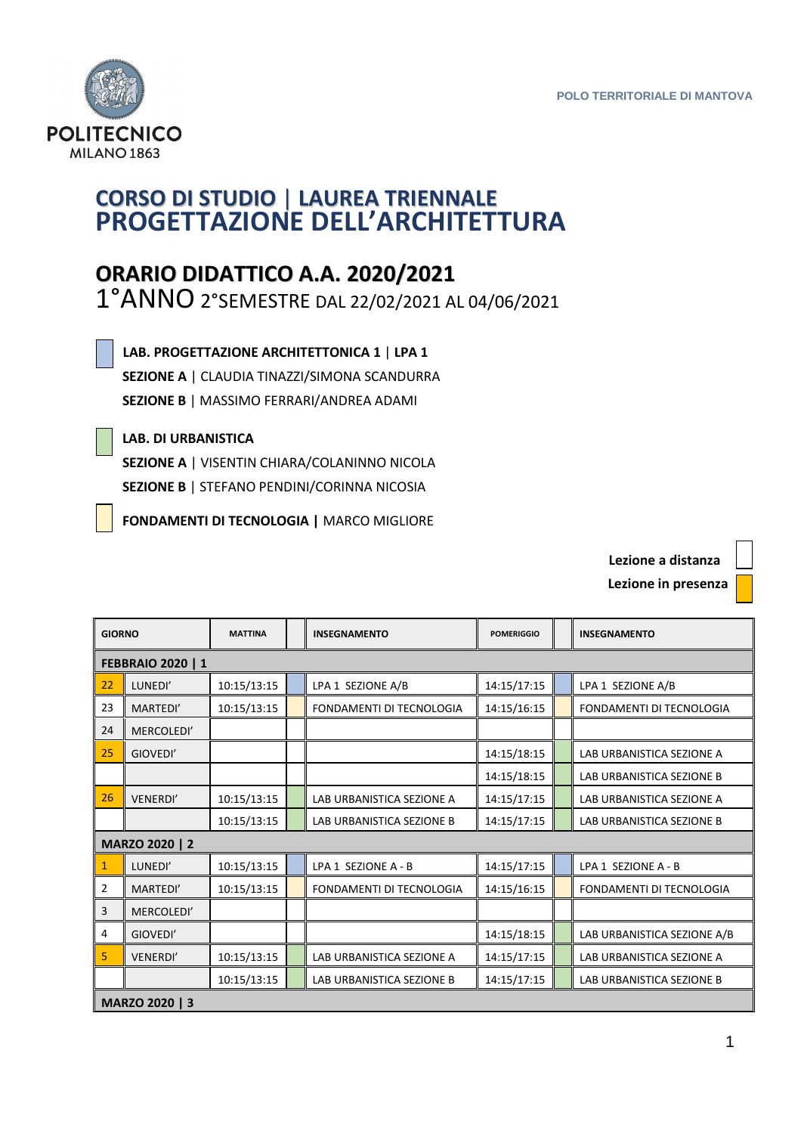**Lezione a distanza**



## **CORSO DI STUDIO** | **LAUREA TRIENNALE PROGETTAZIONE DELL'ARCHITETTURA**

## **ORARIO DIDATTICO A.A. 2020/2021**

1°ANNO 2°SEMESTRE DAL 22/02/2021 AL 04/06/2021

 **LAB. PROGETTAZIONE ARCHITETTONICA 1** | **LPA 1**

 **SEZIONE A** | CLAUDIA TINAZZI/SIMONA SCANDURRA **SEZIONE B** | MASSIMO FERRARI/ANDREA ADAMI

## **LAB. DI URBANISTICA**

**FEBBRAIO 2020 | 1** 

 **SEZIONE A** | VISENTIN CHIARA/COLANINNO NICOLA **SEZIONE B** | STEFANO PENDINI/CORINNA NICOSIA

**FONDAMENTI DI TECNOLOGIA |** MARCO MIGLIORE

 **Lezione in presenza GIORNO MATTINA INSEGNAMENTO POMERIGGIO INSEGNAMENTO**  22 LUNEDI' 10:15/13:15 LPA 1 SEZIONE A/B 14:15/17:15 LPA 1 SEZIONE A/B

| 23                    | MARTEDI'        | 10:15/13:15 |  | FONDAMENTI DI TECNOLOGIA  | 14:15/16:15 |  | FONDAMENTI DI TECNOLOGIA    |
|-----------------------|-----------------|-------------|--|---------------------------|-------------|--|-----------------------------|
| 24                    | MERCOLEDI'      |             |  |                           |             |  |                             |
| 25                    | GIOVEDI'        |             |  |                           | 14:15/18:15 |  | LAB URBANISTICA SEZIONE A   |
|                       |                 |             |  |                           | 14:15/18:15 |  | LAB URBANISTICA SEZIONE B   |
| 26                    | <b>VENERDI'</b> | 10:15/13:15 |  | LAB URBANISTICA SEZIONE A | 14:15/17:15 |  | LAB URBANISTICA SEZIONE A   |
|                       |                 | 10:15/13:15 |  | LAB URBANISTICA SEZIONE B | 14:15/17:15 |  | LAB URBANISTICA SEZIONE B   |
| MARZO 2020   2        |                 |             |  |                           |             |  |                             |
| 1                     | LUNEDI'         | 10:15/13:15 |  | LPA 1 SEZIONE A - B       | 14:15/17:15 |  | LPA 1 SEZIONE A - B         |
| 2                     | MARTEDI'        | 10:15/13:15 |  | FONDAMENTI DI TECNOLOGIA  | 14:15/16:15 |  | FONDAMENTI DI TECNOLOGIA    |
| 3                     | MERCOLEDI'      |             |  |                           |             |  |                             |
| 4                     | GIOVEDI'        |             |  |                           | 14:15/18:15 |  | LAB URBANISTICA SEZIONE A/B |
| 5                     | <b>VENERDI'</b> | 10:15/13:15 |  | LAB URBANISTICA SEZIONE A | 14:15/17:15 |  | LAB URBANISTICA SEZIONE A   |
|                       |                 | 10:15/13:15 |  | LAB URBANISTICA SEZIONE B | 14:15/17:15 |  | LAB URBANISTICA SEZIONE B   |
| <b>MARZO 2020   3</b> |                 |             |  |                           |             |  |                             |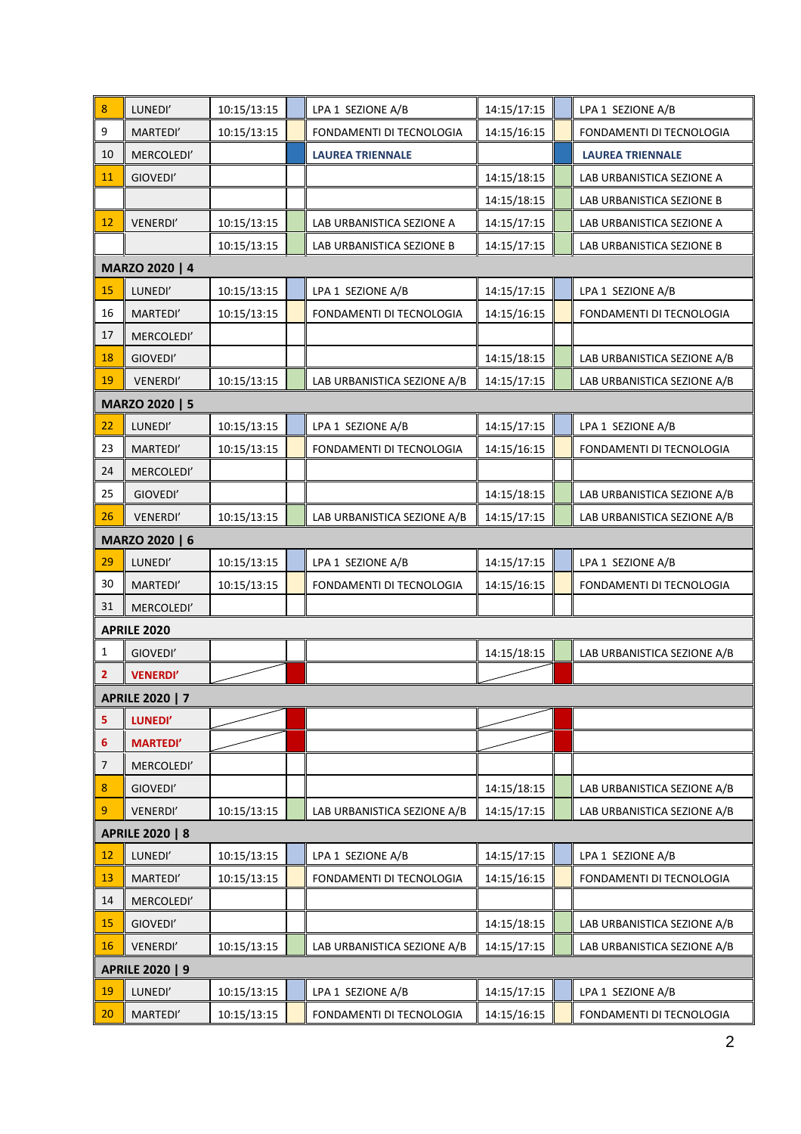| 8                       | LUNEDI'                | 10:15/13:15 |  | LPA 1 SEZIONE A/B           | 14:15/17:15 |  | LPA 1 SEZIONE A/B           |  |
|-------------------------|------------------------|-------------|--|-----------------------------|-------------|--|-----------------------------|--|
| $\boldsymbol{9}$        | MARTEDI'               | 10:15/13:15 |  | FONDAMENTI DI TECNOLOGIA    | 14:15/16:15 |  | FONDAMENTI DI TECNOLOGIA    |  |
| 10                      | MERCOLEDI'             |             |  | <b>LAUREA TRIENNALE</b>     |             |  | <b>LAUREA TRIENNALE</b>     |  |
| 11                      | GIOVEDI'               |             |  |                             | 14:15/18:15 |  | LAB URBANISTICA SEZIONE A   |  |
|                         |                        |             |  |                             | 14:15/18:15 |  | LAB URBANISTICA SEZIONE B   |  |
| 12                      | VENERDI'               | 10:15/13:15 |  | LAB URBANISTICA SEZIONE A   | 14:15/17:15 |  | LAB URBANISTICA SEZIONE A   |  |
|                         |                        | 10:15/13:15 |  | LAB URBANISTICA SEZIONE B   | 14:15/17:15 |  | LAB URBANISTICA SEZIONE B   |  |
|                         | MARZO 2020   4         |             |  |                             |             |  |                             |  |
| 15                      | LUNEDI'                | 10:15/13:15 |  | LPA 1 SEZIONE A/B           | 14:15/17:15 |  | LPA 1 SEZIONE A/B           |  |
| 16                      | MARTEDI'               | 10:15/13:15 |  | FONDAMENTI DI TECNOLOGIA    | 14:15/16:15 |  | FONDAMENTI DI TECNOLOGIA    |  |
| 17                      | MERCOLEDI'             |             |  |                             |             |  |                             |  |
| 18                      | GIOVEDI'               |             |  |                             | 14:15/18:15 |  | LAB URBANISTICA SEZIONE A/B |  |
| 19                      | VENERDI'               | 10:15/13:15 |  | LAB URBANISTICA SEZIONE A/B | 14:15/17:15 |  | LAB URBANISTICA SEZIONE A/B |  |
|                         | MARZO 2020   5         |             |  |                             |             |  |                             |  |
| 22                      | LUNEDI'                | 10:15/13:15 |  | LPA 1 SEZIONE A/B           | 14:15/17:15 |  | LPA 1 SEZIONE A/B           |  |
| 23                      | MARTEDI'               | 10:15/13:15 |  | FONDAMENTI DI TECNOLOGIA    | 14:15/16:15 |  | FONDAMENTI DI TECNOLOGIA    |  |
| 24                      | MERCOLEDI'             |             |  |                             |             |  |                             |  |
| 25                      | GIOVEDI'               |             |  |                             | 14:15/18:15 |  | LAB URBANISTICA SEZIONE A/B |  |
| 26                      | VENERDI'               | 10:15/13:15 |  | LAB URBANISTICA SEZIONE A/B | 14:15/17:15 |  | LAB URBANISTICA SEZIONE A/B |  |
|                         | MARZO 2020   6         |             |  |                             |             |  |                             |  |
| 29                      | LUNEDI'                | 10:15/13:15 |  | LPA 1 SEZIONE A/B           | 14:15/17:15 |  | LPA 1 SEZIONE A/B           |  |
| 30                      | MARTEDI'               | 10:15/13:15 |  | FONDAMENTI DI TECNOLOGIA    | 14:15/16:15 |  | FONDAMENTI DI TECNOLOGIA    |  |
| 31                      | MERCOLEDI'             |             |  |                             |             |  |                             |  |
|                         | <b>APRILE 2020</b>     |             |  |                             |             |  |                             |  |
| 1                       | GIOVEDI'               |             |  |                             | 14:15/18:15 |  | LAB URBANISTICA SEZIONE A/B |  |
| $\overline{\mathbf{2}}$ | <b>VENERDI'</b>        |             |  |                             |             |  |                             |  |
|                         | <b>APRILE 2020   7</b> |             |  |                             |             |  |                             |  |
| 5                       | LUNEDI'                |             |  |                             |             |  |                             |  |
| 6                       | <b>MARTEDI'</b>        |             |  |                             |             |  |                             |  |
| $\overline{7}$          | MERCOLEDI'             |             |  |                             |             |  |                             |  |
| $\bf 8$                 | GIOVEDI'               |             |  |                             | 14:15/18:15 |  | LAB URBANISTICA SEZIONE A/B |  |
| 9                       | VENERDI'               | 10:15/13:15 |  | LAB URBANISTICA SEZIONE A/B | 14:15/17:15 |  | LAB URBANISTICA SEZIONE A/B |  |
| <b>APRILE 2020   8</b>  |                        |             |  |                             |             |  |                             |  |
| 12                      | LUNEDI'                | 10:15/13:15 |  | LPA 1 SEZIONE A/B           | 14:15/17:15 |  | LPA 1 SEZIONE A/B           |  |
| 13                      | MARTEDI'               | 10:15/13:15 |  | FONDAMENTI DI TECNOLOGIA    | 14:15/16:15 |  | FONDAMENTI DI TECNOLOGIA    |  |
| 14                      | MERCOLEDI'             |             |  |                             |             |  |                             |  |
| 15                      | GIOVEDI'               |             |  |                             | 14:15/18:15 |  | LAB URBANISTICA SEZIONE A/B |  |
| 16                      | VENERDI'               | 10:15/13:15 |  | LAB URBANISTICA SEZIONE A/B | 14:15/17:15 |  | LAB URBANISTICA SEZIONE A/B |  |
| <b>APRILE 2020   9</b>  |                        |             |  |                             |             |  |                             |  |
| 19                      | LUNEDI'                | 10:15/13:15 |  | LPA 1 SEZIONE A/B           | 14:15/17:15 |  | LPA 1 SEZIONE A/B           |  |
| 20                      | MARTEDI'               | 10:15/13:15 |  | FONDAMENTI DI TECNOLOGIA    | 14:15/16:15 |  | FONDAMENTI DI TECNOLOGIA    |  |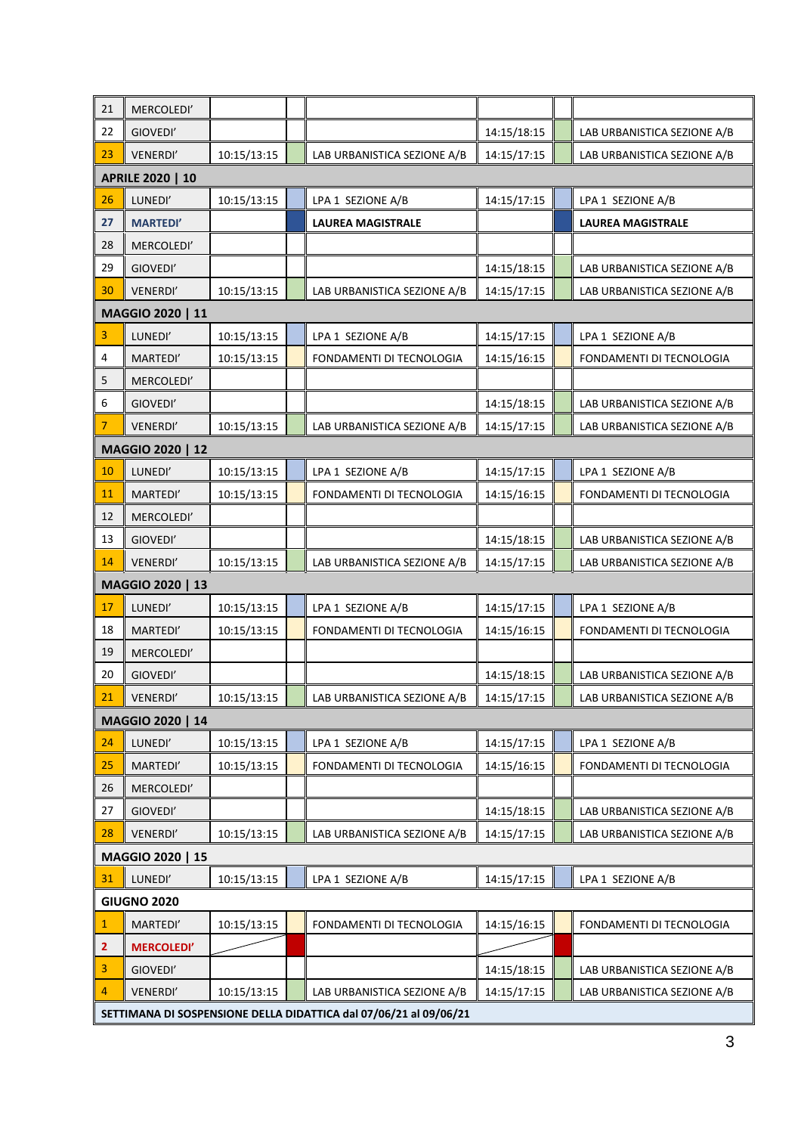| 21             | MERCOLEDI'                                                        |             |  |                             |             |  |                             |  |
|----------------|-------------------------------------------------------------------|-------------|--|-----------------------------|-------------|--|-----------------------------|--|
| 22             | GIOVEDI'                                                          |             |  |                             | 14:15/18:15 |  | LAB URBANISTICA SEZIONE A/B |  |
| 23             | VENERDI'                                                          | 10:15/13:15 |  | LAB URBANISTICA SEZIONE A/B | 14:15/17:15 |  | LAB URBANISTICA SEZIONE A/B |  |
|                | <b>APRILE 2020   10</b>                                           |             |  |                             |             |  |                             |  |
| 26             | LUNEDI'                                                           | 10:15/13:15 |  | LPA 1 SEZIONE A/B           | 14:15/17:15 |  | LPA 1 SEZIONE A/B           |  |
| 27             | <b>MARTEDI'</b>                                                   |             |  | <b>LAUREA MAGISTRALE</b>    |             |  | <b>LAUREA MAGISTRALE</b>    |  |
| 28             | MERCOLEDI'                                                        |             |  |                             |             |  |                             |  |
| 29             | GIOVEDI'                                                          |             |  |                             | 14:15/18:15 |  | LAB URBANISTICA SEZIONE A/B |  |
| 30             | VENERDI'                                                          | 10:15/13:15 |  | LAB URBANISTICA SEZIONE A/B | 14:15/17:15 |  | LAB URBANISTICA SEZIONE A/B |  |
|                | MAGGIO 2020   11                                                  |             |  |                             |             |  |                             |  |
| 3              | LUNEDI'                                                           | 10:15/13:15 |  | LPA 1 SEZIONE A/B           | 14:15/17:15 |  | LPA 1 SEZIONE A/B           |  |
| $\overline{4}$ | MARTEDI'                                                          | 10:15/13:15 |  | FONDAMENTI DI TECNOLOGIA    | 14:15/16:15 |  | FONDAMENTI DI TECNOLOGIA    |  |
| 5              | MERCOLEDI'                                                        |             |  |                             |             |  |                             |  |
| 6              | GIOVEDI'                                                          |             |  |                             | 14:15/18:15 |  | LAB URBANISTICA SEZIONE A/B |  |
| 7              | <b>VENERDI'</b>                                                   | 10:15/13:15 |  | LAB URBANISTICA SEZIONE A/B | 14:15/17:15 |  | LAB URBANISTICA SEZIONE A/B |  |
|                | MAGGIO 2020   12                                                  |             |  |                             |             |  |                             |  |
| 10             | LUNEDI'                                                           | 10:15/13:15 |  | LPA 1 SEZIONE A/B           | 14:15/17:15 |  | LPA 1 SEZIONE A/B           |  |
| 11             | MARTEDI'                                                          | 10:15/13:15 |  | FONDAMENTI DI TECNOLOGIA    | 14:15/16:15 |  | FONDAMENTI DI TECNOLOGIA    |  |
| 12             | MERCOLEDI'                                                        |             |  |                             |             |  |                             |  |
| 13             | GIOVEDI'                                                          |             |  |                             | 14:15/18:15 |  | LAB URBANISTICA SEZIONE A/B |  |
| 14             | VENERDI'                                                          | 10:15/13:15 |  | LAB URBANISTICA SEZIONE A/B | 14:15/17:15 |  | LAB URBANISTICA SEZIONE A/B |  |
|                | MAGGIO 2020   13                                                  |             |  |                             |             |  |                             |  |
| 17             | LUNEDI'                                                           | 10:15/13:15 |  | LPA 1 SEZIONE A/B           | 14:15/17:15 |  | LPA 1 SEZIONE A/B           |  |
| 18             | MARTEDI'                                                          | 10:15/13:15 |  | FONDAMENTI DI TECNOLOGIA    | 14:15/16:15 |  | FONDAMENTI DI TECNOLOGIA    |  |
| 19             | MERCOLEDI'                                                        |             |  |                             |             |  |                             |  |
| 20             | GIOVEDI'                                                          |             |  |                             | 14:15/18:15 |  | LAB URBANISTICA SEZIONE A/B |  |
| 21             | VENERDI'                                                          | 10:15/13:15 |  | LAB URBANISTICA SEZIONE A/B | 14:15/17:15 |  | LAB URBANISTICA SEZIONE A/B |  |
|                | MAGGIO 2020   14                                                  |             |  |                             |             |  |                             |  |
| 24             | LUNEDI'                                                           | 10:15/13:15 |  | LPA 1 SEZIONE A/B           | 14:15/17:15 |  | LPA 1 SEZIONE A/B           |  |
| 25             | MARTEDI'                                                          | 10:15/13:15 |  | FONDAMENTI DI TECNOLOGIA    | 14:15/16:15 |  | FONDAMENTI DI TECNOLOGIA    |  |
| 26             | MERCOLEDI'                                                        |             |  |                             |             |  |                             |  |
| 27             | GIOVEDI'                                                          |             |  |                             | 14:15/18:15 |  | LAB URBANISTICA SEZIONE A/B |  |
| 28             | VENERDI'                                                          | 10:15/13:15 |  | LAB URBANISTICA SEZIONE A/B | 14:15/17:15 |  | LAB URBANISTICA SEZIONE A/B |  |
|                | MAGGIO 2020   15                                                  |             |  |                             |             |  |                             |  |
| 31             | LUNEDI'                                                           | 10:15/13:15 |  | LPA 1 SEZIONE A/B           | 14:15/17:15 |  | LPA 1 SEZIONE A/B           |  |
|                | <b>GIUGNO 2020</b>                                                |             |  |                             |             |  |                             |  |
| 1              | MARTEDI'                                                          | 10:15/13:15 |  | FONDAMENTI DI TECNOLOGIA    | 14:15/16:15 |  | FONDAMENTI DI TECNOLOGIA    |  |
| $\mathbf{2}$   | <b>MERCOLEDI'</b>                                                 |             |  |                             |             |  |                             |  |
| 3              | GIOVEDI'                                                          |             |  |                             | 14:15/18:15 |  | LAB URBANISTICA SEZIONE A/B |  |
| 4              | VENERDI'                                                          | 10:15/13:15 |  | LAB URBANISTICA SEZIONE A/B | 14:15/17:15 |  | LAB URBANISTICA SEZIONE A/B |  |
|                | SETTIMANA DI SOSPENSIONE DELLA DIDATTICA dal 07/06/21 al 09/06/21 |             |  |                             |             |  |                             |  |